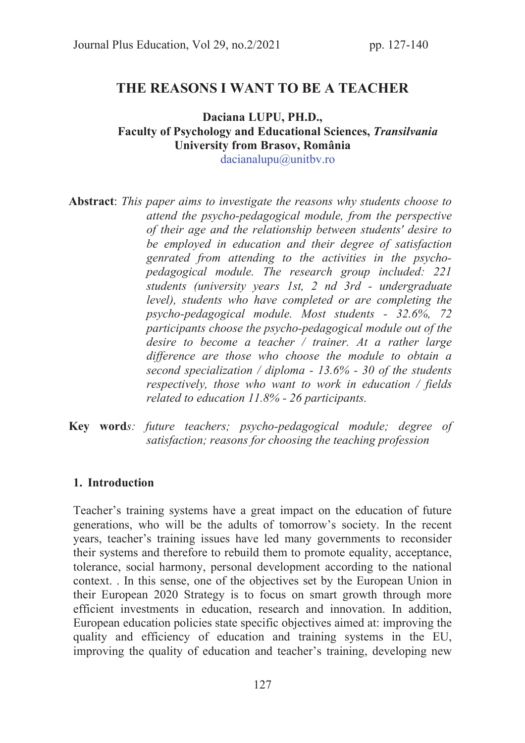# THE REASONS I WANT TO BE A TEACHER

# Daciana LUPU, PH.D., Faculty of Psychology and Educational Sciences, Transilvania University from Brasov, România

dacianalupu@unitbv.ro

Abstract: *This paper aims to investigate the reasons why students choose to attend the psycho-pedagogical module, from the perspective of their age and the relationship between students' desire to be employed in education and their degree of satisfaction genrated from attending to the activities in the psychopedagogical module. The research group included: 221 students (university years 1st, 2 nd 3rd - undergraduate level), students who have completed or are completing the psycho-pedagogical module. Most students - 32.6%, 72 participants choose the psycho-pedagogical module out of the desire to become a teacher / trainer. At a rather large difference are those who choose the module to obtain a second specialization / diploma - 13.6% - 30 of the students respectively, those who want to work in education / fields related to education 11.8% - 26 participants.* 

Key word*s: future teachers; psycho-pedagogical module; degree of satisfaction; reasons for choosing the teaching profession* 

#### 1. Introduction

Teacher's training systems have a great impact on the education of future generations, who will be the adults of tomorrow's society. In the recent years, teacher's training issues have led many governments to reconsider their systems and therefore to rebuild them to promote equality, acceptance, tolerance, social harmony, personal development according to the national context. . In this sense, one of the objectives set by the European Union in their European 2020 Strategy is to focus on smart growth through more efficient investments in education, research and innovation. In addition, European education policies state specific objectives aimed at: improving the quality and efficiency of education and training systems in the EU, improving the quality of education and teacher's training, developing new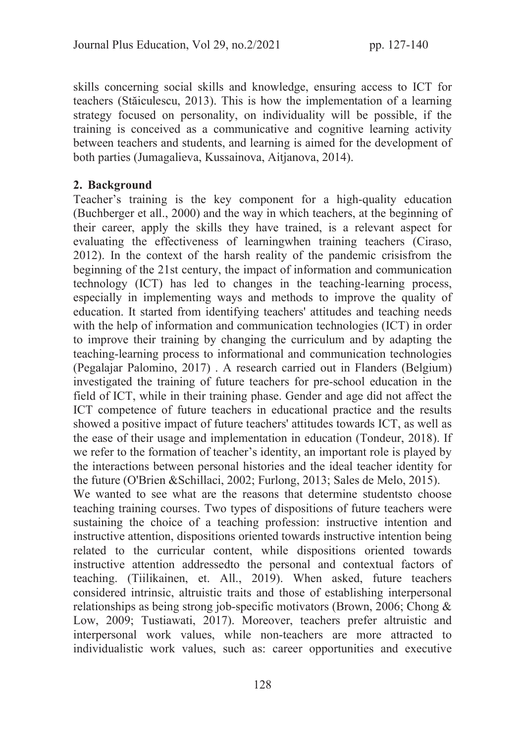skills concerning social skills and knowledge, ensuring access to ICT for teachers (Stăiculescu, 2013). This is how the implementation of a learning strategy focused on personality, on individuality will be possible, if the training is conceived as a communicative and cognitive learning activity between teachers and students, and learning is aimed for the development of both parties (Jumagalieva, Kussainova, Aitjanova, 2014).

## 2. Background

Teacher's training is the key component for a high-quality education (Buchberger et all., 2000) and the way in which teachers, at the beginning of their career, apply the skills they have trained, is a relevant aspect for evaluating the effectiveness of learningwhen training teachers (Ciraso, 2012). In the context of the harsh reality of the pandemic crisisfrom the beginning of the 21st century, the impact of information and communication technology (ICT) has led to changes in the teaching-learning process, especially in implementing ways and methods to improve the quality of education. It started from identifying teachers' attitudes and teaching needs with the help of information and communication technologies (ICT) in order to improve their training by changing the curriculum and by adapting the teaching-learning process to informational and communication technologies (Pegalajar Palomino, 2017) . A research carried out in Flanders (Belgium) investigated the training of future teachers for pre-school education in the field of ICT, while in their training phase. Gender and age did not affect the ICT competence of future teachers in educational practice and the results showed a positive impact of future teachers' attitudes towards ICT, as well as the ease of their usage and implementation in education (Tondeur, 2018). If we refer to the formation of teacher's identity, an important role is played by the interactions between personal histories and the ideal teacher identity for the future (O'Brien &Schillaci, 2002; Furlong, 2013; Sales de Melo, 2015). We wanted to see what are the reasons that determine studentsto choose teaching training courses. Two types of dispositions of future teachers were sustaining the choice of a teaching profession: instructive intention and instructive attention, dispositions oriented towards instructive intention being related to the curricular content, while dispositions oriented towards instructive attention addressedto the personal and contextual factors of teaching. (Tiilikainen, et. All., 2019). When asked, future teachers considered intrinsic, altruistic traits and those of establishing interpersonal relationships as being strong job-specific motivators (Brown, 2006; Chong & Low, 2009; Tustiawati, 2017). Moreover, teachers prefer altruistic and interpersonal work values, while non-teachers are more attracted to

individualistic work values, such as: career opportunities and executive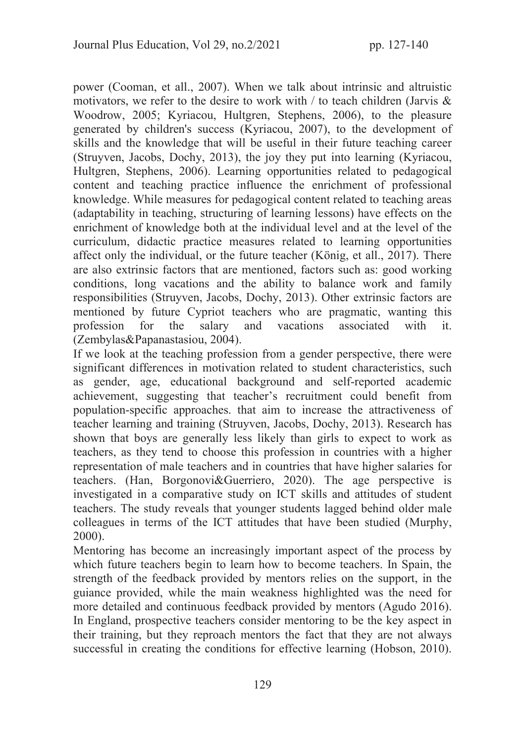power (Cooman, et all., 2007). When we talk about intrinsic and altruistic motivators, we refer to the desire to work with  $\ell$  to teach children (Jarvis  $\&$ Woodrow, 2005; Kyriacou, Hultgren, Stephens, 2006), to the pleasure generated by children's success (Kyriacou, 2007), to the development of skills and the knowledge that will be useful in their future teaching career (Struyven, Jacobs, Dochy, 2013), the joy they put into learning (Kyriacou, Hultgren, Stephens, 2006). Learning opportunities related to pedagogical content and teaching practice influence the enrichment of professional knowledge. While measures for pedagogical content related to teaching areas (adaptability in teaching, structuring of learning lessons) have effects on the enrichment of knowledge both at the individual level and at the level of the curriculum, didactic practice measures related to learning opportunities affect only the individual, or the future teacher (König, et all., 2017). There are also extrinsic factors that are mentioned, factors such as: good working conditions, long vacations and the ability to balance work and family responsibilities (Struyven, Jacobs, Dochy, 2013). Other extrinsic factors are mentioned by future Cypriot teachers who are pragmatic, wanting this profession for the salary and vacations associated with it. (Zembylas&Papanastasiou, 2004).

If we look at the teaching profession from a gender perspective, there were significant differences in motivation related to student characteristics, such as gender, age, educational background and self-reported academic achievement, suggesting that teacher's recruitment could benefit from population-specific approaches. that aim to increase the attractiveness of teacher learning and training (Struyven, Jacobs, Dochy, 2013). Research has shown that boys are generally less likely than girls to expect to work as teachers, as they tend to choose this profession in countries with a higher representation of male teachers and in countries that have higher salaries for teachers. (Han, Borgonovi&Guerriero, 2020). The age perspective is investigated in a comparative study on ICT skills and attitudes of student teachers. The study reveals that younger students lagged behind older male colleagues in terms of the ICT attitudes that have been studied (Murphy, 2000).

Mentoring has become an increasingly important aspect of the process by which future teachers begin to learn how to become teachers. In Spain, the strength of the feedback provided by mentors relies on the support, in the guiance provided, while the main weakness highlighted was the need for more detailed and continuous feedback provided by mentors (Agudo 2016). In England, prospective teachers consider mentoring to be the key aspect in their training, but they reproach mentors the fact that they are not always successful in creating the conditions for effective learning (Hobson, 2010).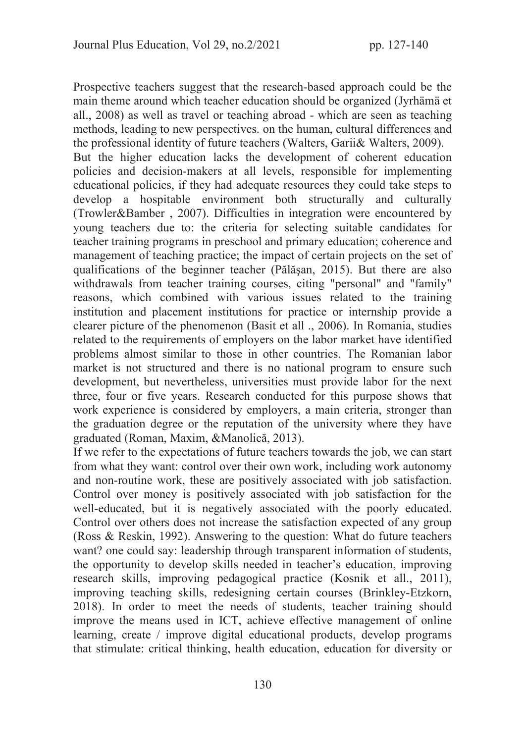Prospective teachers suggest that the research-based approach could be the main theme around which teacher education should be organized (Jyrhämä et all., 2008) as well as travel or teaching abroad - which are seen as teaching methods, leading to new perspectives. on the human, cultural differences and the professional identity of future teachers (Walters, Garii& Walters, 2009). But the higher education lacks the development of coherent education policies and decision-makers at all levels, responsible for implementing educational policies, if they had adequate resources they could take steps to develop a hospitable environment both structurally and culturally (Trowler&Bamber , 2007). Difficulties in integration were encountered by young teachers due to: the criteria for selecting suitable candidates for teacher training programs in preschool and primary education; coherence and management of teaching practice; the impact of certain projects on the set of qualifications of the beginner teacher (Pălăşan, 2015). But there are also withdrawals from teacher training courses, citing "personal" and "family" reasons, which combined with various issues related to the training institution and placement institutions for practice or internship provide a clearer picture of the phenomenon (Basit et all ., 2006). In Romania, studies related to the requirements of employers on the labor market have identified problems almost similar to those in other countries. The Romanian labor market is not structured and there is no national program to ensure such development, but nevertheless, universities must provide labor for the next three, four or five years. Research conducted for this purpose shows that work experience is considered by employers, a main criteria, stronger than the graduation degree or the reputation of the university where they have graduated (Roman, Maxim, &Manolică, 2013).

If we refer to the expectations of future teachers towards the job, we can start from what they want: control over their own work, including work autonomy and non-routine work, these are positively associated with job satisfaction. Control over money is positively associated with job satisfaction for the well-educated, but it is negatively associated with the poorly educated. Control over others does not increase the satisfaction expected of any group (Ross & Reskin, 1992). Answering to the question: What do future teachers want? one could say: leadership through transparent information of students, the opportunity to develop skills needed in teacher's education, improving research skills, improving pedagogical practice (Kosnik et all., 2011), improving teaching skills, redesigning certain courses (Brinkley-Etzkorn, 2018). In order to meet the needs of students, teacher training should improve the means used in ICT, achieve effective management of online learning, create / improve digital educational products, develop programs that stimulate: critical thinking, health education, education for diversity or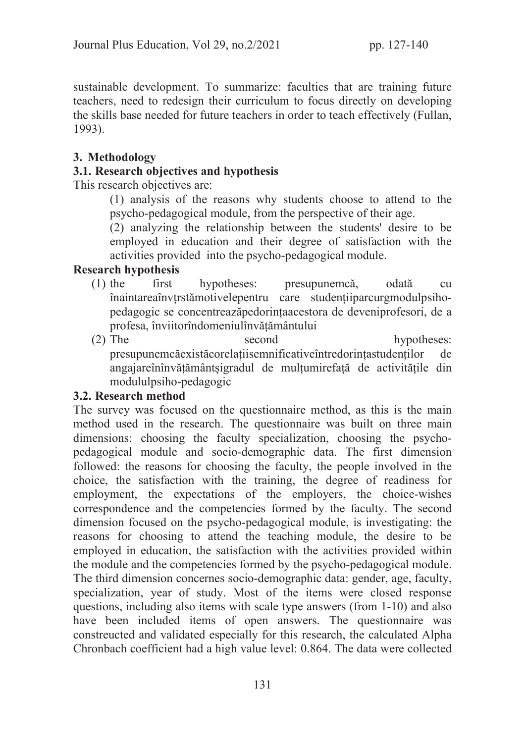sustainable development. To summarize: faculties that are training future teachers, need to redesign their curriculum to focus directly on developing the skills base needed for future teachers in order to teach effectively (Fullan, 1993).

## 3. Methodology

## 3.1. Research objectives and hypothesis

This research objectives are:

(1) analysis of the reasons why students choose to attend to the psycho-pedagogical module, from the perspective of their age.

(2) analyzing the relationship between the students' desire to be employed in education and their degree of satisfaction with the activities provided into the psycho-pedagogical module.

## Research hypothesis

- (1) the first hypotheses: presupunemcă, odată cu înaintareaînvțrstămotivelepentru care studențiiparcurgmodulpsihopedagogic se concentreazăpedorințaacestora de deveniprofesori, de a profesa, înviitorîndomeniulînvățământului
- (2) The second hypotheses: presupunemcăexistăcorelațiisemnificativeîntredorințastudenților de angajareînînvățământșigradul de mulțumirefață de activitățile din modululpsiho-pedagogic

## 3.2. Research method

The survey was focused on the questionnaire method, as this is the main method used in the research. The questionnaire was built on three main dimensions: choosing the faculty specialization, choosing the psychopedagogical module and socio-demographic data. The first dimension followed: the reasons for choosing the faculty, the people involved in the choice, the satisfaction with the training, the degree of readiness for employment, the expectations of the employers, the choice-wishes correspondence and the competencies formed by the faculty. The second dimension focused on the psycho-pedagogical module, is investigating: the reasons for choosing to attend the teaching module, the desire to be employed in education, the satisfaction with the activities provided within the module and the competencies formed by the psycho-pedagogical module. The third dimension concernes socio-demographic data: gender, age, faculty, specialization, year of study. Most of the items were closed response questions, including also items with scale type answers (from 1-10) and also have been included items of open answers. The questionnaire was constreucted and validated especially for this research, the calculated Alpha Chronbach coefficient had a high value level: 0.864. The data were collected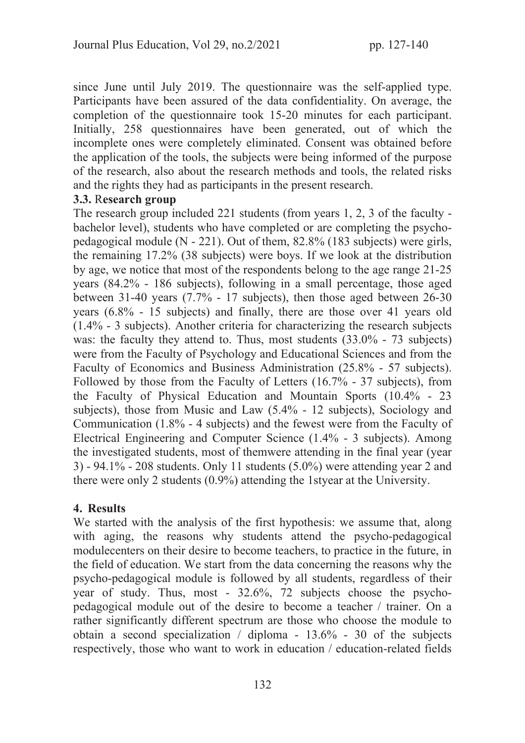since June until July 2019. The questionnaire was the self-applied type. Participants have been assured of the data confidentiality. On average, the completion of the questionnaire took 15-20 minutes for each participant. Initially, 258 questionnaires have been generated, out of which the incomplete ones were completely eliminated. Consent was obtained before the application of the tools, the subjects were being informed of the purpose of the research, also about the research methods and tools, the related risks and the rights they had as participants in the present research.

#### 3.3. Research group

The research group included 221 students (from years 1, 2, 3 of the faculty bachelor level), students who have completed or are completing the psychopedagogical module (N - 221). Out of them, 82.8% (183 subjects) were girls, the remaining 17.2% (38 subjects) were boys. If we look at the distribution by age, we notice that most of the respondents belong to the age range 21-25 years (84.2% - 186 subjects), following in a small percentage, those aged between 31-40 years (7.7% - 17 subjects), then those aged between 26-30 years (6.8% - 15 subjects) and finally, there are those over 41 years old (1.4% - 3 subjects). Another criteria for characterizing the research subjects was: the faculty they attend to. Thus, most students (33.0% - 73 subjects) were from the Faculty of Psychology and Educational Sciences and from the Faculty of Economics and Business Administration (25.8% - 57 subjects). Followed by those from the Faculty of Letters (16.7% - 37 subjects), from the Faculty of Physical Education and Mountain Sports (10.4% - 23 subjects), those from Music and Law (5.4% - 12 subjects), Sociology and Communication (1.8% - 4 subjects) and the fewest were from the Faculty of Electrical Engineering and Computer Science (1.4% - 3 subjects). Among the investigated students, most of themwere attending in the final year (year 3) - 94.1% - 208 students. Only 11 students (5.0%) were attending year 2 and there were only 2 students (0.9%) attending the 1styear at the University.

## 4. Results

We started with the analysis of the first hypothesis: we assume that, along with aging, the reasons why students attend the psycho-pedagogical modulecenters on their desire to become teachers, to practice in the future, in the field of education. We start from the data concerning the reasons why the psycho-pedagogical module is followed by all students, regardless of their year of study. Thus, most - 32.6%, 72 subjects choose the psychopedagogical module out of the desire to become a teacher / trainer. On a rather significantly different spectrum are those who choose the module to obtain a second specialization / diploma - 13.6% - 30 of the subjects respectively, those who want to work in education / education-related fields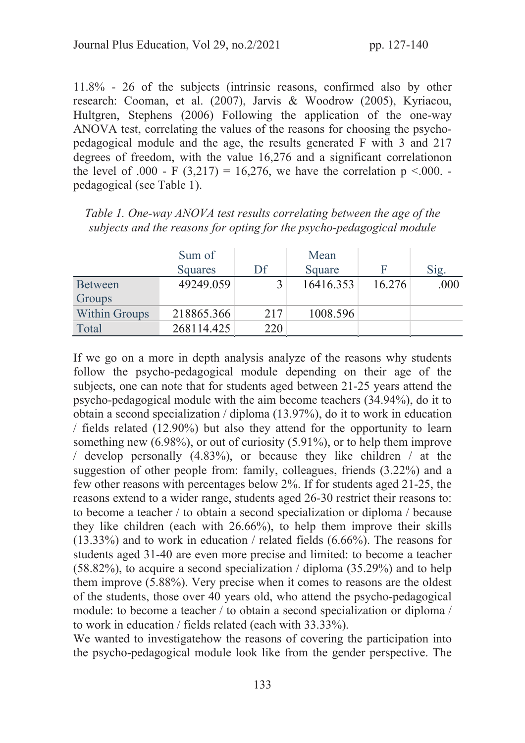11.8% - 26 of the subjects (intrinsic reasons, confirmed also by other research: Cooman, et al. (2007), Jarvis & Woodrow (2005), Kyriacou, Hultgren, Stephens (2006) Following the application of the one-way ANOVA test, correlating the values of the reasons for choosing the psychopedagogical module and the age, the results generated F with 3 and 217 degrees of freedom, with the value 16,276 and a significant correlationon the level of .000 - F (3,217) = 16,276, we have the correlation  $p < .000$ . pedagogical (see Table 1).

*Table 1. One-way ANOVA test results correlating between the age of the subjects and the reasons for opting for the psycho-pedagogical module* 

|                      | Sum of         |     | Mean      |        |      |
|----------------------|----------------|-----|-----------|--------|------|
|                      | <b>Squares</b> | Df  | Square    | F      | Sig. |
| <b>Between</b>       | 49249.059      |     | 16416.353 | 16.276 | .000 |
| Groups               |                |     |           |        |      |
| <b>Within Groups</b> | 218865.366     | 217 | 1008.596  |        |      |
| Total                | 268114.425     | 220 |           |        |      |

If we go on a more in depth analysis analyze of the reasons why students follow the psycho-pedagogical module depending on their age of the subjects, one can note that for students aged between 21-25 years attend the psycho-pedagogical module with the aim become teachers (34.94%), do it to obtain a second specialization / diploma (13.97%), do it to work in education / fields related (12.90%) but also they attend for the opportunity to learn something new (6.98%), or out of curiosity (5.91%), or to help them improve / develop personally (4.83%), or because they like children / at the suggestion of other people from: family, colleagues, friends (3.22%) and a few other reasons with percentages below 2%. If for students aged 21-25, the reasons extend to a wider range, students aged 26-30 restrict their reasons to: to become a teacher / to obtain a second specialization or diploma / because they like children (each with 26.66%), to help them improve their skills (13.33%) and to work in education / related fields (6.66%). The reasons for students aged 31-40 are even more precise and limited: to become a teacher (58.82%), to acquire a second specialization / diploma (35.29%) and to help them improve (5.88%). Very precise when it comes to reasons are the oldest of the students, those over 40 years old, who attend the psycho-pedagogical module: to become a teacher / to obtain a second specialization or diploma / to work in education / fields related (each with 33.33%).

We wanted to investigate how the reasons of covering the participation into the psycho-pedagogical module look like from the gender perspective. The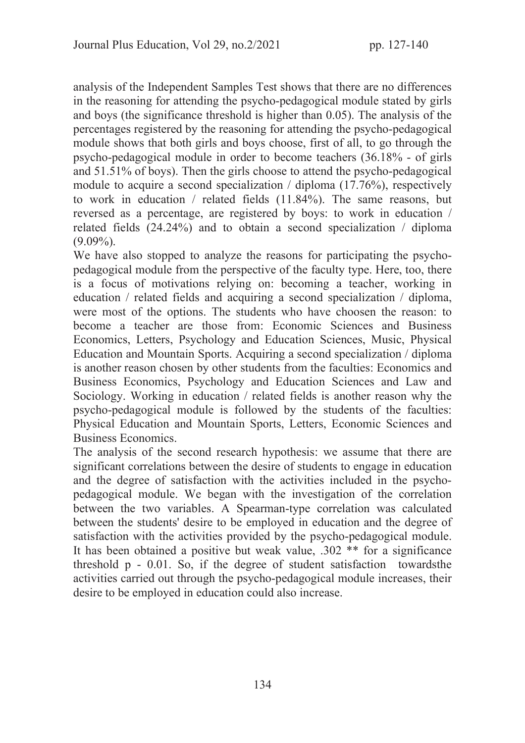analysis of the Independent Samples Test shows that there are no differences in the reasoning for attending the psycho-pedagogical module stated by girls and boys (the significance threshold is higher than 0.05). The analysis of the percentages registered by the reasoning for attending the psycho-pedagogical module shows that both girls and boys choose, first of all, to go through the psycho-pedagogical module in order to become teachers (36.18% - of girls and 51.51% of boys). Then the girls choose to attend the psycho-pedagogical module to acquire a second specialization / diploma (17.76%), respectively to work in education / related fields (11.84%). The same reasons, but reversed as a percentage, are registered by boys: to work in education / related fields (24.24%) and to obtain a second specialization / diploma  $(9.09\%)$ .

We have also stopped to analyze the reasons for participating the psychopedagogical module from the perspective of the faculty type. Here, too, there is a focus of motivations relying on: becoming a teacher, working in education / related fields and acquiring a second specialization / diploma, were most of the options. The students who have choosen the reason: to become a teacher are those from: Economic Sciences and Business Economics, Letters, Psychology and Education Sciences, Music, Physical Education and Mountain Sports. Acquiring a second specialization / diploma is another reason chosen by other students from the faculties: Economics and Business Economics, Psychology and Education Sciences and Law and Sociology. Working in education / related fields is another reason why the psycho-pedagogical module is followed by the students of the faculties: Physical Education and Mountain Sports, Letters, Economic Sciences and Business Economics.

The analysis of the second research hypothesis: we assume that there are significant correlations between the desire of students to engage in education and the degree of satisfaction with the activities included in the psychopedagogical module. We began with the investigation of the correlation between the two variables. A Spearman-type correlation was calculated between the students' desire to be employed in education and the degree of satisfaction with the activities provided by the psycho-pedagogical module. It has been obtained a positive but weak value, .302 \*\* for a significance threshold p - 0.01. So, if the degree of student satisfaction towardsthe activities carried out through the psycho-pedagogical module increases, their desire to be employed in education could also increase.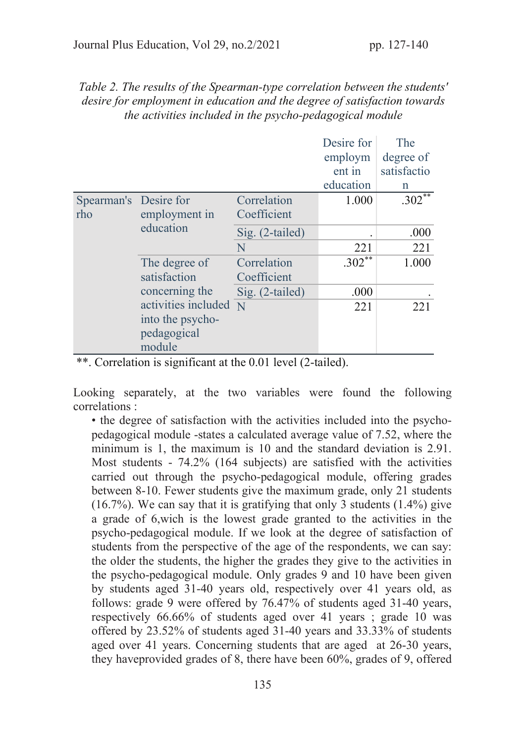| the activities included in the psycho-pedagogical module |                                                                          |                            |                                 |                                 |  |  |  |
|----------------------------------------------------------|--------------------------------------------------------------------------|----------------------------|---------------------------------|---------------------------------|--|--|--|
|                                                          |                                                                          |                            | Desire for<br>employm<br>ent in | The<br>degree of<br>satisfactio |  |  |  |
|                                                          |                                                                          |                            | education                       | n                               |  |  |  |
| Spearman's Desire for<br>rho                             | employment in<br>education                                               | Correlation<br>Coefficient | 1.000                           | $.302$ <sup>**</sup>            |  |  |  |
|                                                          |                                                                          | $Sig. (2-tailed)$          | $\bullet$                       | .000                            |  |  |  |
|                                                          |                                                                          | N                          | 221                             | 221                             |  |  |  |
|                                                          | The degree of<br>satisfaction                                            | Correlation<br>Coefficient | $.302**$                        | 1.000                           |  |  |  |
|                                                          | concerning the<br>activities included<br>into the psycho-<br>pedagogical | Sig. (2-tailed)            | .000                            |                                 |  |  |  |
|                                                          |                                                                          | N                          | 221                             | 221                             |  |  |  |

#### *Table 2. The results of the Spearman-type correlation between the students' desire for employment in education and the degree of satisfaction towards the activities included in the psycho-pedagogical module*

\*\*. Correlation is significant at the 0.01 level (2-tailed).

module

Looking separately, at the two variables were found the following correlations :

• the degree of satisfaction with the activities included into the psychopedagogical module -states a calculated average value of 7.52, where the minimum is 1, the maximum is 10 and the standard deviation is 2.91. Most students - 74.2% (164 subjects) are satisfied with the activities carried out through the psycho-pedagogical module, offering grades between 8-10. Fewer students give the maximum grade, only 21 students (16.7%). We can say that it is gratifying that only 3 students (1.4%) give a grade of 6,wich is the lowest grade granted to the activities in the psycho-pedagogical module. If we look at the degree of satisfaction of students from the perspective of the age of the respondents, we can say: the older the students, the higher the grades they give to the activities in the psycho-pedagogical module. Only grades 9 and 10 have been given by students aged 31-40 years old, respectively over 41 years old, as follows: grade 9 were offered by 76.47% of students aged 31-40 years, respectively 66.66% of students aged over 41 years ; grade 10 was offered by 23.52% of students aged 31-40 years and 33.33% of students aged over 41 years. Concerning students that are aged at 26-30 years, they haveprovided grades of 8, there have been 60%, grades of 9, offered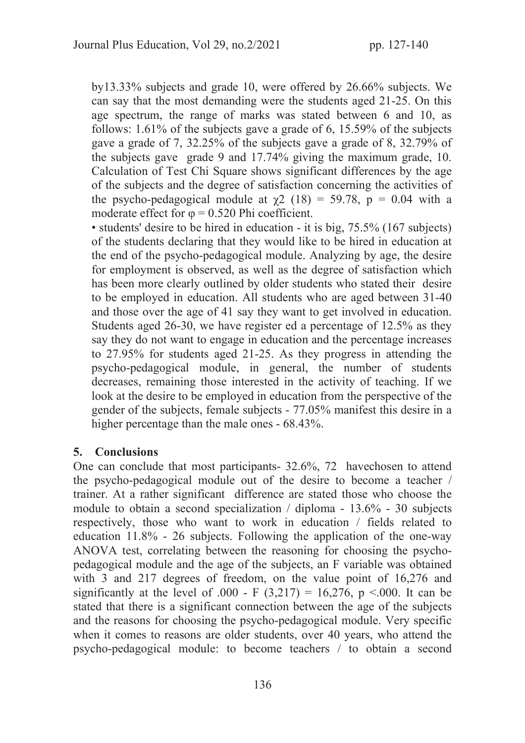by13.33% subjects and grade 10, were offered by 26.66% subjects. We can say that the most demanding were the students aged 21-25. On this age spectrum, the range of marks was stated between 6 and 10, as follows: 1.61% of the subjects gave a grade of 6, 15.59% of the subjects gave a grade of 7, 32.25% of the subjects gave a grade of 8, 32.79% of the subjects gave grade 9 and 17.74% giving the maximum grade, 10. Calculation of Test Chi Square shows significant differences by the age of the subjects and the degree of satisfaction concerning the activities of the psycho-pedagogical module at  $\chi$ 2 (18) = 59.78, p = 0.04 with a moderate effect for  $\varphi = 0.520$  Phi coefficient.

• students' desire to be hired in education - it is big, 75.5% (167 subjects) of the students declaring that they would like to be hired in education at the end of the psycho-pedagogical module. Analyzing by age, the desire for employment is observed, as well as the degree of satisfaction which has been more clearly outlined by older students who stated their desire to be employed in education. All students who are aged between 31-40 and those over the age of 41 say they want to get involved in education. Students aged 26-30, we have register ed a percentage of 12.5% as they say they do not want to engage in education and the percentage increases to 27.95% for students aged 21-25. As they progress in attending the psycho-pedagogical module, in general, the number of students decreases, remaining those interested in the activity of teaching. If we look at the desire to be employed in education from the perspective of the gender of the subjects, female subjects - 77.05% manifest this desire in a higher percentage than the male ones - 68.43%.

#### 5. Conclusions

One can conclude that most participants- 32.6%, 72 havechosen to attend the psycho-pedagogical module out of the desire to become a teacher / trainer. At a rather significant difference are stated those who choose the module to obtain a second specialization / diploma - 13.6% - 30 subjects respectively, those who want to work in education / fields related to education 11.8% - 26 subjects. Following the application of the one-way ANOVA test, correlating between the reasoning for choosing the psychopedagogical module and the age of the subjects, an F variable was obtained with 3 and 217 degrees of freedom, on the value point of 16,276 and significantly at the level of .000 - F  $(3,217) = 16,276$ , p <.000. It can be stated that there is a significant connection between the age of the subjects and the reasons for choosing the psycho-pedagogical module. Very specific when it comes to reasons are older students, over 40 years, who attend the psycho-pedagogical module: to become teachers / to obtain a second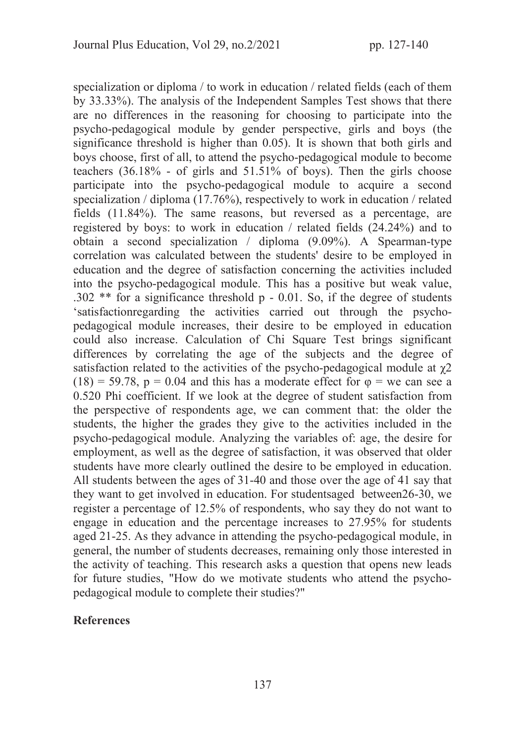specialization or diploma / to work in education / related fields (each of them by 33.33%). The analysis of the Independent Samples Test shows that there are no differences in the reasoning for choosing to participate into the psycho-pedagogical module by gender perspective, girls and boys (the significance threshold is higher than 0.05). It is shown that both girls and boys choose, first of all, to attend the psycho-pedagogical module to become teachers (36.18% - of girls and 51.51% of boys). Then the girls choose participate into the psycho-pedagogical module to acquire a second specialization / diploma (17.76%), respectively to work in education / related fields (11.84%). The same reasons, but reversed as a percentage, are registered by boys: to work in education / related fields (24.24%) and to obtain a second specialization / diploma (9.09%). A Spearman-type correlation was calculated between the students' desire to be employed in education and the degree of satisfaction concerning the activities included into the psycho-pedagogical module. This has a positive but weak value, .302 \*\* for a significance threshold p - 0.01. So, if the degree of students 'satisfactionregarding the activities carried out through the psychopedagogical module increases, their desire to be employed in education could also increase. Calculation of Chi Square Test brings significant differences by correlating the age of the subjects and the degree of satisfaction related to the activities of the psycho-pedagogical module at  $\chi$ 2 (18) = 59.78,  $p = 0.04$  and this has a moderate effect for  $\varphi$  = we can see a 0.520 Phi coefficient. If we look at the degree of student satisfaction from the perspective of respondents age, we can comment that: the older the students, the higher the grades they give to the activities included in the psycho-pedagogical module. Analyzing the variables of: age, the desire for employment, as well as the degree of satisfaction, it was observed that older students have more clearly outlined the desire to be employed in education. All students between the ages of 31-40 and those over the age of 41 say that they want to get involved in education. For studentsaged between26-30, we register a percentage of 12.5% of respondents, who say they do not want to engage in education and the percentage increases to 27.95% for students aged 21-25. As they advance in attending the psycho-pedagogical module, in general, the number of students decreases, remaining only those interested in the activity of teaching. This research asks a question that opens new leads for future studies, "How do we motivate students who attend the psychopedagogical module to complete their studies?"

#### References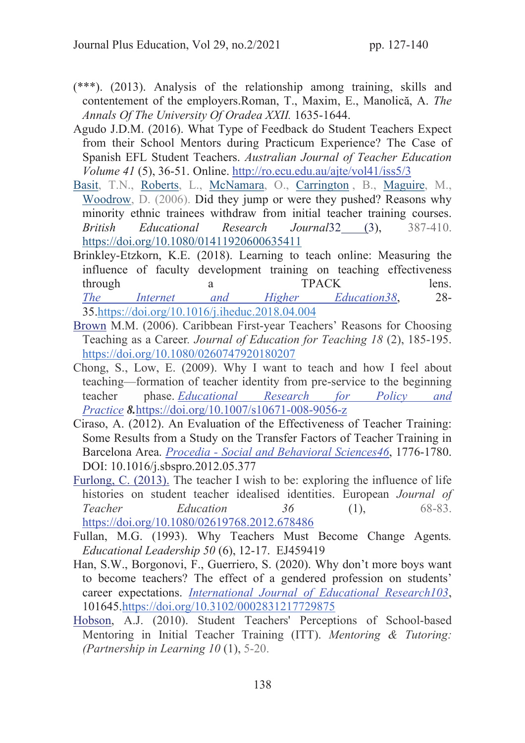- (\*\*\*). (2013). Analysis of the relationship among training, skills and contentement of the employers.Roman, T., Maxim, E., Manolică, A. *The Annals Of The University Of Oradea XXII.* 1635-1644.
- Agudo J.D.M. (2016). What Type of Feedback do Student Teachers Expect from their School Mentors during Practicum Experience? The Case of Spanish EFL Student Teachers. *Australian Journal of Teacher Education Volume 41* (5), 36-51. Online. http://ro.ecu.edu.au/ajte/vol41/iss5/3
- Basit, T.N., Roberts, L., McNamara, O., Carrington , B., Maguire, M., Woodrow, D. (2006). Did they jump or were they pushed? Reasons why minority ethnic trainees withdraw from initial teacher training courses. *British Educational Research Journal*32 (3), 387-410. https://doi.org/10.1080/01411920600635411
- Brinkley-Etzkorn, K.E. (2018). Learning to teach online: Measuring the influence of faculty development training on teaching effectiveness through a TPACK lens. *The Internet and Higher Education38*, 28- 35.https://doi.org/10.1016/j.iheduc.2018.04.004
- Brown M.M. (2006). Caribbean First‐year Teachers' Reasons for Choosing Teaching as a Career*. Journal of Education for Teaching 18* (2), 185-195. https://doi.org/10.1080/0260747920180207
- Chong, S., Low, E. (2009). Why I want to teach and how I feel about teaching—formation of teacher identity from pre-service to the beginning teacher phase. *Educational Research for Policy and Practice* 8.https://doi.org/10.1007/s10671-008-9056-z
- Ciraso, A. (2012). An Evaluation of the Effectiveness of Teacher Training: Some Results from a Study on the Transfer Factors of Teacher Training in Barcelona Area. *Procedia - Social and Behavioral Sciences46*, 1776-1780. DOI: 10.1016/j.sbspro.2012.05.377
- Furlong, C. (2013). The teacher I wish to be: exploring the influence of life histories on student teacher idealised identities. European *Journal of Teacher Education 36* (1), 68-83. https://doi.org/10.1080/02619768.2012.678486
- Fullan, M.G. (1993). Why Teachers Must Become Change Agents*. Educational Leadership 50* (6), 12-17. EJ459419
- Han, S.W., Borgonovi, F., Guerriero, S. (2020). Why don't more boys want to become teachers? The effect of a gendered profession on students' career expectations. *International Journal of Educational Research103*, 101645.https://doi.org/10.3102/0002831217729875
- Hobson, A.J. (2010). Student Teachers' Perceptions of School-based Mentoring in Initial Teacher Training (ITT). *Mentoring & Tutoring: (Partnership in Learning 10* (1), 5-20.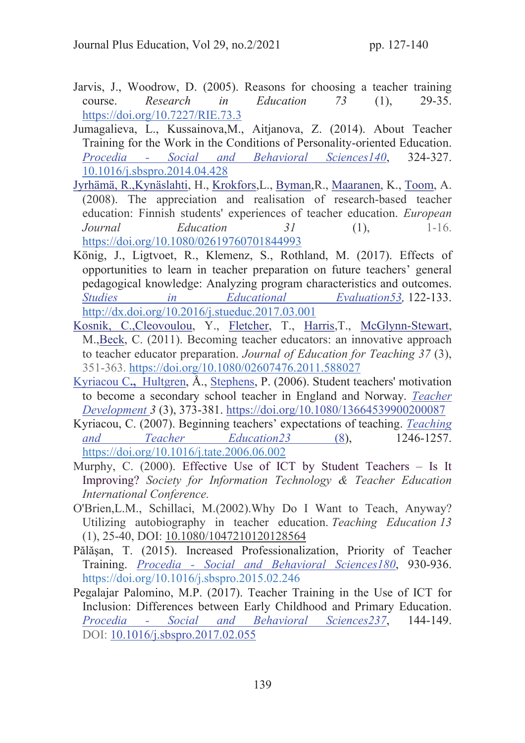- Jarvis, J., Woodrow, D. (2005). Reasons for choosing a teacher training course. *Research in Education 73* (1), 29-35. https://doi.org/10.7227/RIE.73.3
- Jumagalieva, L., Kussainova,M., Aitjanova, Z. (2014). About Teacher Training for the Work in the Conditions of Personality-oriented Education. *Procedia - Social and Behavioral Sciences140*, 324-327. 10.1016/j.sbspro.2014.04.428
- Jyrhämä, R.,Kynäslahti, H., Krokfors,L., Byman,R., Maaranen, K., Toom, A. (2008). The appreciation and realisation of research‐based teacher education: Finnish students' experiences of teacher education. *European Journal Education* 31 (1), 1-16. https://doi.org/10.1080/02619760701844993
- König, J., Ligtvoet, R., Klemenz, S., Rothland, M. (2017). Effects of opportunities to learn in teacher preparation on future teachers' general pedagogical knowledge: Analyzing program characteristics and outcomes. *Studies in Educational Evaluation53,* 122-133. http://dx.doi.org/10.2016/j.stueduc.2017.03.001
- Kosnik, C.,Cleovoulou, Y., Fletcher, T., Harris,T., McGlynn-Stewart, M.,Beck, C. (2011). Becoming teacher educators: an innovative approach to teacher educator preparation. *Journal of Education for Teaching 37* (3), 351-363. https://doi.org/10.1080/02607476.2011.588027
- Kyriacou C., Hultgren, Å., Stephens, P. (2006). Student teachers' motivation to become a secondary school teacher in England and Norway. *Teacher Development 3* (3), 373-381. https://doi.org/10.1080/13664539900200087
- Kyriacou, C. (2007). Beginning teachers' expectations of teaching. *Teaching and Teacher Education23* (8), 1246-1257. https://doi.org/10.1016/j.tate.2006.06.002
- Murphy, C. (2000). Effective Use of ICT by Student Teachers Is It Improving? *Society for Information Technology & Teacher Education International Conference.*
- O'Brien,L.M., Schillaci, M.(2002).Why Do I Want to Teach, Anyway? Utilizing autobiography in teacher education. *Teaching Education 13* (1), 25-40, DOI: 10.1080/1047210120128564
- Pălăşan, T. (2015). Increased Professionalization, Priority of Teacher Training. *Procedia - Social and Behavioral Sciences180*, 930-936. https://doi.org/10.1016/j.sbspro.2015.02.246
- Pegalajar Palomino, M.P. (2017). Teacher Training in the Use of ICT for Inclusion: Differences between Early Childhood and Primary Education. *Procedia - Social and Behavioral Sciences237*, 144-149. DOI: 10.1016/j.sbspro.2017.02.055